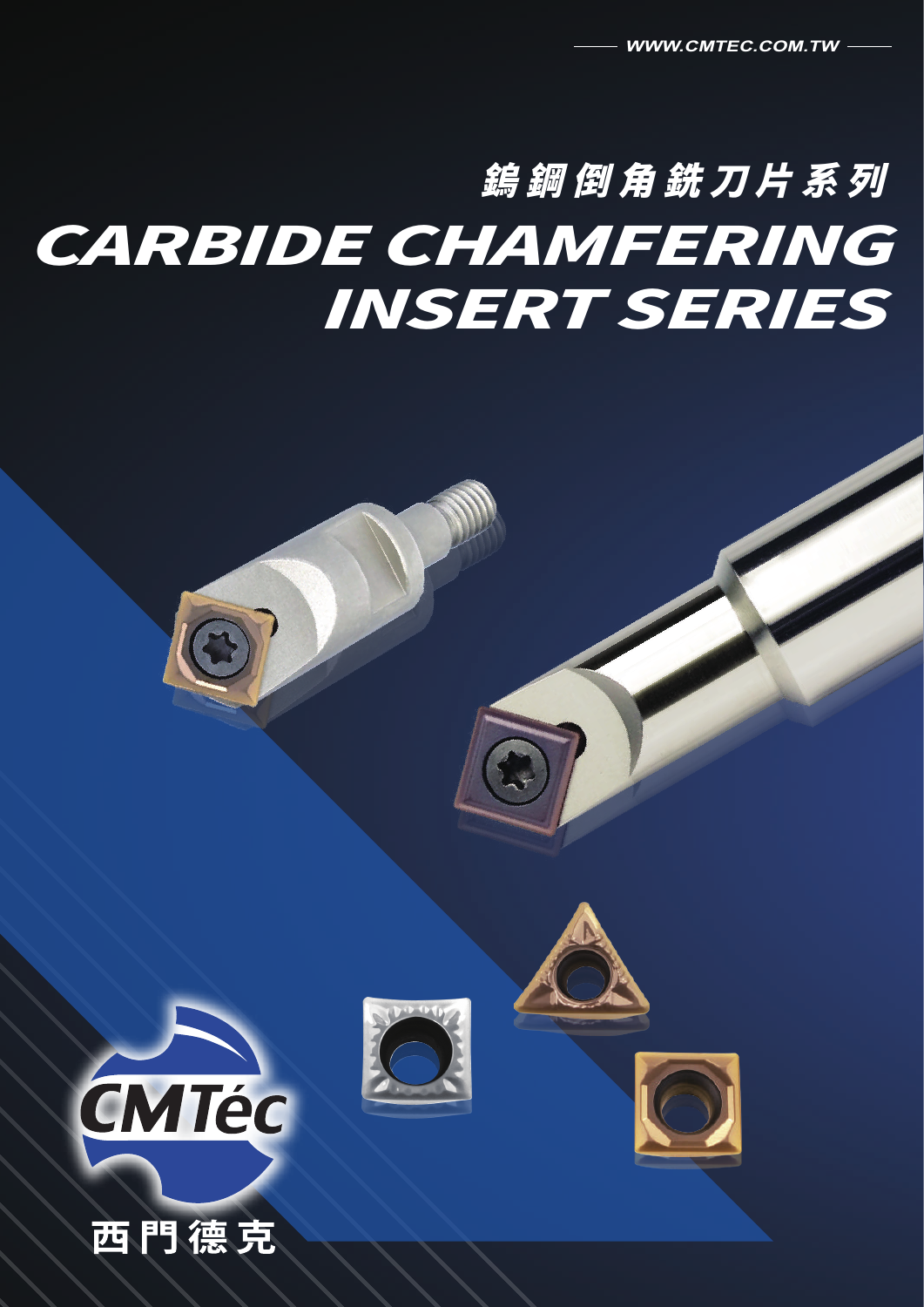# 鎢鋼倒⻆銑刀片系列 CARBIDE CHAMFERING INSERT SERIES





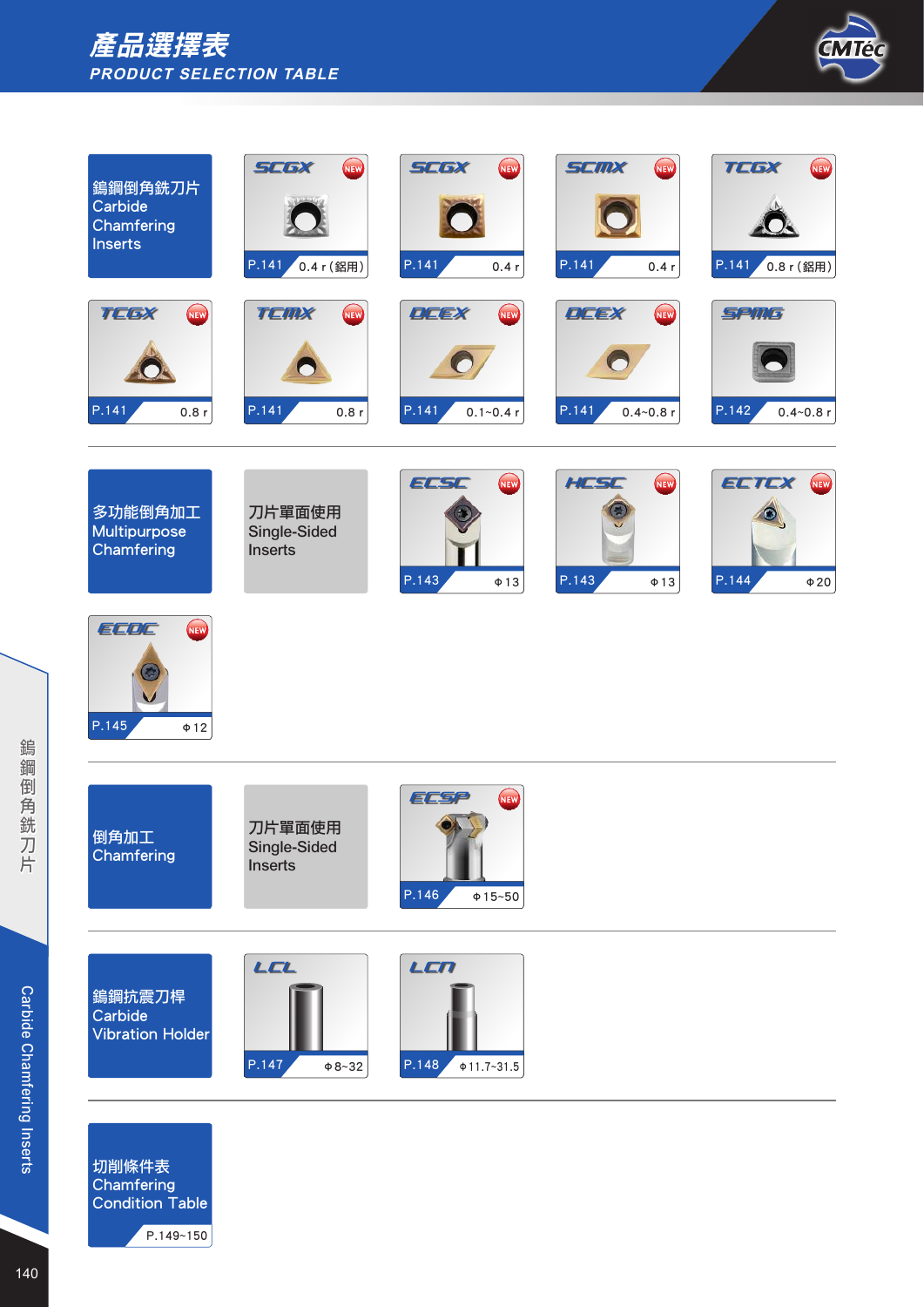



| 鎢鋼倒角銑刀片<br>Carbide<br>Chamfering<br><b>Inserts</b> | <b>NEW</b><br><b>SCGX</b><br>P.141<br>0.4 r (鋁用) | <b>KIEW</b><br><b>SCGX</b><br>P.141<br>0.4r | <b>NEW</b><br><b>SCMX</b><br>P.141<br>0.4r  | <b>NEW</b><br><b>TEGX</b><br>P.141<br>0.8 r (鋁用) |
|----------------------------------------------------|--------------------------------------------------|---------------------------------------------|---------------------------------------------|--------------------------------------------------|
| <b>NEW</b><br><b>TEGX</b><br>P.141<br>0.8r         | <b>KIEW</b><br>TEMX<br>P.141<br>0.8r             | <b>NEW</b><br>DEEX<br>P.141<br>$0.1 - 0.4r$ | <b>NEW</b><br>DEEX<br>P.141<br>$0.4 - 0.8r$ | <b>SPMG</b><br>P.142<br>$0.4 - 0.8r$             |
| 多功能倒角加工<br>Multipurpose<br>Chamfering              | 刀片單面使用<br>Single-Sided<br><b>Inserts</b>         | <b>NEW</b><br>ECSC<br>P.143<br>$\Phi$ 13    | <b>NEW</b><br>HESE<br>P.143<br>$\Phi$ 13    | <b>NEW</b><br>ECTCX<br>P.144<br>$\Phi$ 20        |
| <b>NEW</b><br>ECDC<br>P.145<br>$\Phi$ 12           |                                                  |                                             |                                             |                                                  |
| 倒角加工<br>Chamfering                                 | 刀片單面使用<br>Single-Sided<br><b>Inserts</b>         | <b>NEW</b><br>ECSP<br>P.146<br>$\Phi$ 15~50 |                                             |                                                  |
| 編鋼抗震刀桿<br>Carbide<br><b>Vibration Holder</b>       | LCL<br>P.147<br>$\Phi$ 8~32                      | LEN<br>P.148<br>$\Phi$ 11.7~31.5            |                                             |                                                  |
| 切削條件表<br>Chamfering                                |                                                  |                                             |                                             |                                                  |

Condition Table

P.149~150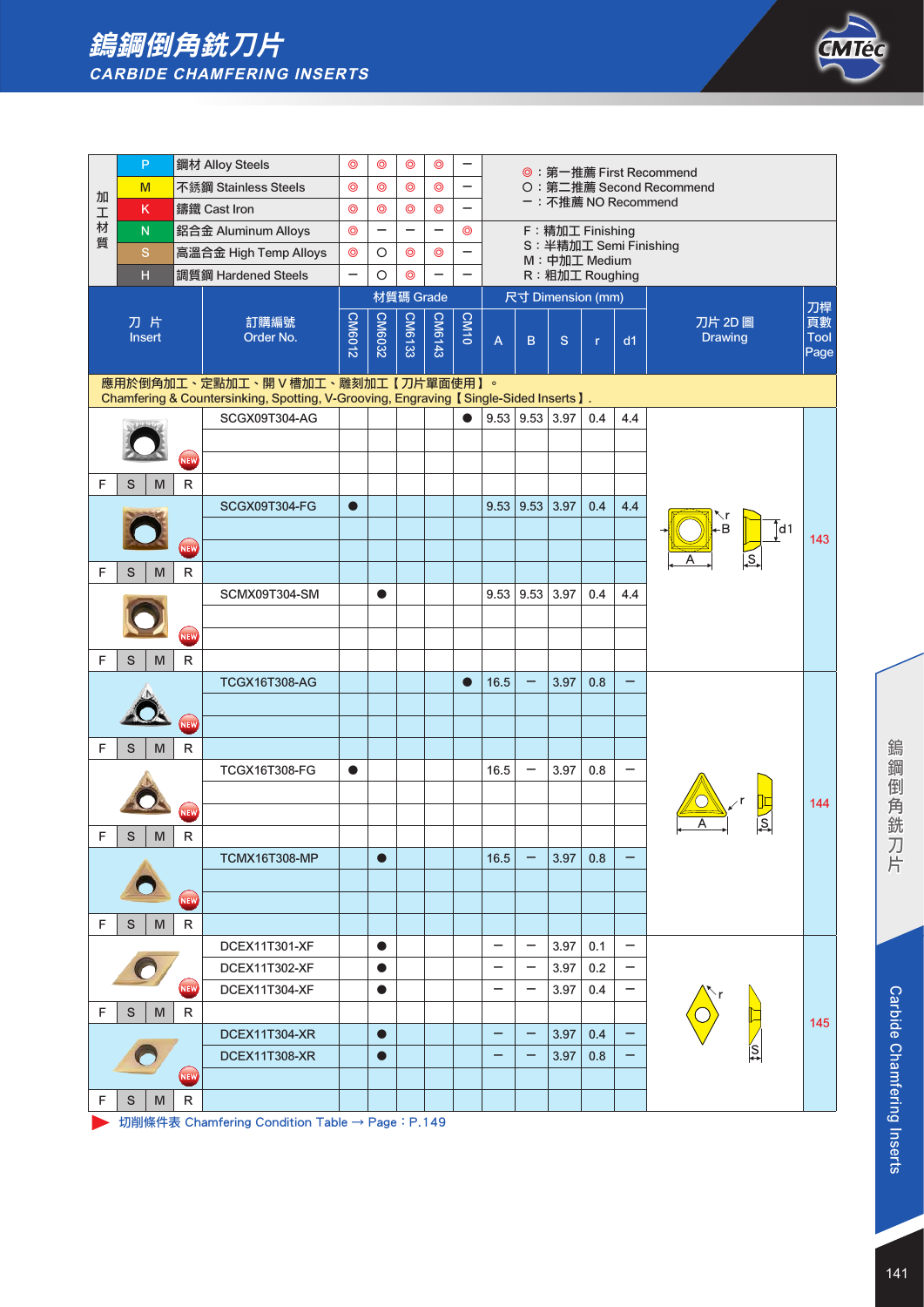# 鎢鋼倒角銑刀片 **CARBIDE CHAMFERING INSERTS**



|   | P      |   |            | 鋼材 Alloy Steels                                                                      | $\circledcirc$           | ⊚                        | $\circledcirc$           | $\circledcirc$ |                          |                          |                          |                          |              |                          | ◎:第一推薦 First Recommend   |              |
|---|--------|---|------------|--------------------------------------------------------------------------------------|--------------------------|--------------------------|--------------------------|----------------|--------------------------|--------------------------|--------------------------|--------------------------|--------------|--------------------------|--------------------------|--------------|
| 加 | M      |   |            | 不銹鋼 Stainless Steels                                                                 | $\circledcirc$           | $\circledcirc$           | $\circledcirc$           | $\circledcirc$ | —                        |                          |                          |                          |              |                          | O: 第二推薦 Second Recommend |              |
| 工 | K      |   |            | 鑄鐵 Cast Iron                                                                         | $\circledcirc$           | $\circledcirc$           | $\circledcirc$           | $\circledcirc$ | -                        |                          |                          |                          |              |                          | ー:不推薦 NO Recommend       |              |
| 材 | N      |   |            | 鋁合金 Aluminum Alloys                                                                  | $\circledcirc$           | $\overline{\phantom{0}}$ | $\overline{\phantom{0}}$ |                | $\circledcirc$           |                          |                          | F: 精加工 Finishing         |              |                          |                          |              |
| 質 | S      |   |            | 高溫合金 High Temp Alloys                                                                | $\circledcirc$           | O                        | $\circledcirc$           | $\circledcirc$ |                          |                          |                          | M: 中加工 Medium            |              |                          | S: 半精加工 Semi Finishing   |              |
|   | H      |   |            | 調質鋼 Hardened Steels                                                                  | $\overline{\phantom{0}}$ | $\circ$                  | $\circledcirc$           |                | $\overline{\phantom{0}}$ |                          |                          | R: 粗加工 Roughing          |              |                          |                          |              |
|   |        |   |            |                                                                                      |                          |                          | 材質碼 Grade                |                |                          |                          |                          | 尺寸 Dimension (mm)        |              |                          |                          |              |
|   | 刀片     |   |            | 訂購編號                                                                                 |                          | CM6032                   | CM6133                   | <b>CM6143</b>  | CM <sub>10</sub>         |                          |                          |                          |              |                          | 刀片 2D 圖                  | 刀桿<br>頁數     |
|   | Insert |   |            | Order No.                                                                            | <b>CM6012</b>            |                          |                          |                |                          | $\overline{A}$           | $\mathsf B$              | S                        | $\mathbf{r}$ | d1                       | <b>Drawing</b>           | Tool<br>Page |
|   |        |   |            | 應用於倒角加工、定點加工、開 V 槽加工、雕刻加工【刀片單面使用】。                                                   |                          |                          |                          |                |                          |                          |                          |                          |              |                          |                          |              |
|   |        |   |            | Chamfering & Countersinking, Spotting, V-Grooving, Engraving 【Single-Sided Inserts】. |                          |                          |                          |                |                          |                          |                          |                          |              |                          |                          |              |
|   |        |   |            | SCGX09T304-AG                                                                        |                          |                          |                          |                |                          |                          |                          | $9.53$   $9.53$   $3.97$ | 0.4          | 4.4                      |                          |              |
|   |        |   |            |                                                                                      |                          |                          |                          |                |                          |                          |                          |                          |              |                          |                          |              |
|   |        |   | <b>NEW</b> |                                                                                      |                          |                          |                          |                |                          |                          |                          |                          |              |                          |                          |              |
| F | S      | M | R          |                                                                                      |                          |                          |                          |                |                          |                          |                          |                          |              |                          |                          |              |
|   |        |   |            | <b>SCGX09T304-FG</b>                                                                 | $\bullet$                |                          |                          |                |                          |                          | 9.53   9.53              | 3.97                     | 0.4          | 4.4                      |                          |              |
|   |        |   |            |                                                                                      |                          |                          |                          |                |                          |                          |                          |                          |              |                          | -В<br>d1                 | 143          |
|   |        |   | NEW        |                                                                                      |                          |                          |                          |                |                          |                          |                          |                          |              |                          |                          |              |
| F | S      | M | R          |                                                                                      |                          |                          |                          |                |                          |                          |                          |                          |              |                          |                          |              |
|   |        |   |            | SCMX09T304-SM                                                                        |                          |                          |                          |                |                          |                          | 9.53   9.53              | 3.97                     | 0.4          | 4.4                      |                          |              |
|   |        |   |            |                                                                                      |                          |                          |                          |                |                          |                          |                          |                          |              |                          |                          |              |
|   |        |   | NEW        |                                                                                      |                          |                          |                          |                |                          |                          |                          |                          |              |                          |                          |              |
| F | S      | M | R          |                                                                                      |                          |                          |                          |                |                          |                          |                          |                          |              |                          |                          |              |
|   |        |   |            | <b>TCGX16T308-AG</b>                                                                 |                          |                          |                          |                | $\bullet$                | 16.5                     |                          | 3.97                     | 0.8          | -                        |                          |              |
|   |        |   |            |                                                                                      |                          |                          |                          |                |                          |                          |                          |                          |              |                          |                          |              |
|   |        |   | NEW        |                                                                                      |                          |                          |                          |                |                          |                          |                          |                          |              |                          |                          |              |
| F | S      | M | R          |                                                                                      |                          |                          |                          |                |                          |                          |                          |                          |              |                          |                          |              |
|   |        |   |            | TCGX16T308-FG                                                                        | $\bullet$                |                          |                          |                |                          | 16.5                     |                          | 3.97                     | 0.8          |                          |                          |              |
|   |        |   |            |                                                                                      |                          |                          |                          |                |                          |                          |                          |                          |              |                          |                          | 144          |
|   |        |   | NEW        |                                                                                      |                          |                          |                          |                |                          |                          |                          |                          |              |                          |                          |              |
| F | S      | M | R          |                                                                                      |                          |                          |                          |                |                          |                          |                          |                          |              |                          |                          |              |
|   |        |   |            | <b>TCMX16T308-MP</b>                                                                 |                          | $\bullet$                |                          |                |                          | 16.5                     |                          | 3.97                     | 0.8          |                          |                          |              |
|   |        |   |            |                                                                                      |                          |                          |                          |                |                          |                          |                          |                          |              |                          |                          |              |
|   |        |   | <b>NEW</b> |                                                                                      |                          |                          |                          |                |                          |                          |                          |                          |              |                          |                          |              |
| F | S      | M | R          |                                                                                      |                          |                          |                          |                |                          |                          |                          |                          |              |                          |                          |              |
|   |        |   |            | DCEX11T301-XF                                                                        |                          | $\bullet$                |                          |                |                          |                          | $\qquad \qquad -$        | 3.97                     | 0.1          | $\overline{\phantom{0}}$ |                          |              |
|   |        |   |            | <b>DCEX11T302-XF</b>                                                                 |                          | $\bullet$                |                          |                |                          | -                        | $\overline{\phantom{0}}$ | 3.97                     | 0.2          | -                        |                          |              |
|   |        |   | NEW        | DCEX11T304-XF                                                                        |                          | $\bullet$                |                          |                |                          | $\overline{\phantom{0}}$ | -                        | 3.97                     | 0.4          | $\qquad \qquad -$        |                          |              |
| F | S      | M | R          |                                                                                      |                          |                          |                          |                |                          |                          |                          |                          |              |                          |                          | 145          |
|   |        |   |            | DCEX11T304-XR                                                                        |                          | $\bullet$                |                          |                |                          | -                        | $\overline{\phantom{0}}$ | 3.97                     | 0.4          | -                        |                          |              |
|   |        |   |            | <b>DCEX11T308-XR</b>                                                                 |                          | $\bullet$                |                          |                |                          |                          |                          | 3.97                     | 0.8          | -                        |                          |              |
|   |        |   | NEW        |                                                                                      |                          |                          |                          |                |                          |                          |                          |                          |              |                          |                          |              |
| F | S      | M | R          |                                                                                      |                          |                          |                          |                |                          |                          |                          |                          |              |                          |                          |              |

→ 切削條件表 Chamfering Condition Table → Page: P.149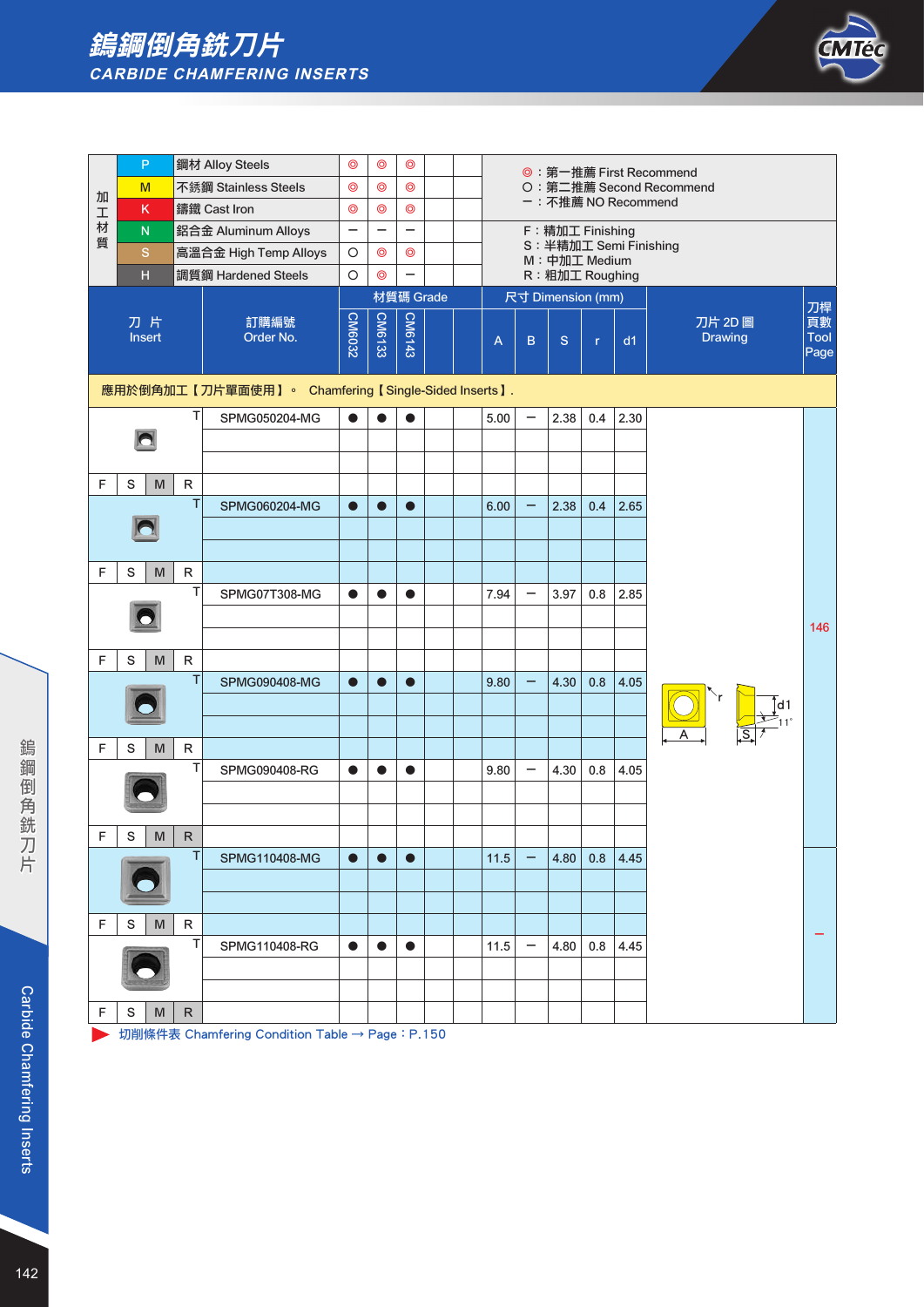### 鎢鋼倒角銑刀片 **CARBIDE CHAMFERING INSERTS**



|        | P                |        | 鋼材 Alloy Steels                                    | $\circledcirc$           | $\circledcirc$           | $\circledcirc$           |  |      |                          |                                            |              |      | ◎:第一推薦 First Recommend    |                    |
|--------|------------------|--------|----------------------------------------------------|--------------------------|--------------------------|--------------------------|--|------|--------------------------|--------------------------------------------|--------------|------|---------------------------|--------------------|
| 加      | M                |        | 不銹鋼 Stainless Steels                               | $\circledcirc$           | $\circledcirc$           | $\circledcirc$           |  |      |                          | ー: 不推薦 NO Recommend                        |              |      | 〇:第二推薦 Second Recommend   |                    |
| 工<br>材 | K                |        | 鑄鐵 Cast Iron                                       | $\circledcirc$           | $\circledcirc$           | $\circledcirc$           |  |      |                          |                                            |              |      |                           |                    |
| 質      | ${\sf N}$        |        | 鋁合金 Aluminum Alloys                                | $\overline{\phantom{0}}$ | $\overline{\phantom{0}}$ | $\overline{\phantom{0}}$ |  |      |                          | F: 精加工 Finishing<br>S: 半精加工 Semi Finishing |              |      |                           |                    |
|        | $\mathbf S$      |        | 高溫合金 High Temp Alloys                              | $\circ$                  | $\circledcirc$           | $\circledcirc$           |  |      |                          | M: 中加工 Medium                              |              |      |                           |                    |
|        | H                |        | 調質鋼 Hardened Steels                                | $\circ$                  | $\circledcirc$           |                          |  |      |                          | R: 粗加工 Roughing                            |              |      |                           |                    |
|        |                  |        |                                                    |                          |                          | 材質碼 Grade                |  |      |                          | 尺寸 Dimension (mm)                          |              |      |                           | 刀桿                 |
|        | 刀片<br>Insert     |        | 訂購編號<br>Order No.                                  | <b>CM6032</b>            | CM6133                   | CM6143                   |  | A    | B                        | S                                          | $\mathbf{r}$ | d1   | 刀片 2D 圖<br><b>Drawing</b> | 頁數<br>Tool<br>Page |
|        |                  |        | 應用於倒角加工【刀片單面使用】。 Chamfering【Single-Sided Inserts】. |                          |                          |                          |  |      |                          |                                            |              |      |                           |                    |
|        |                  | т      | SPMG050204-MG                                      | $\bullet$                | $\bullet$                | $\bullet$                |  | 5.00 | $\overline{\phantom{0}}$ | 2.38                                       | 0.4          | 2.30 |                           |                    |
|        |                  |        |                                                    |                          |                          |                          |  |      |                          |                                            |              |      |                           |                    |
|        |                  |        |                                                    |                          |                          |                          |  |      |                          |                                            |              |      |                           |                    |
| F      | S<br>M           | R      |                                                    |                          |                          |                          |  |      |                          |                                            |              |      |                           |                    |
|        |                  | T      | SPMG060204-MG                                      | $\bullet$                |                          | $\bullet$                |  | 6.00 |                          | 2.38                                       | 0.4          | 2.65 |                           |                    |
|        |                  |        |                                                    |                          |                          |                          |  |      |                          |                                            |              |      |                           |                    |
|        |                  |        |                                                    |                          |                          |                          |  |      |                          |                                            |              |      |                           |                    |
| F      | S<br>M           | R      |                                                    |                          |                          |                          |  |      |                          |                                            |              |      |                           |                    |
|        |                  | T      | SPMG07T308-MG                                      | $\bullet$                | $\bullet$                | $\bullet$                |  | 7.94 |                          | 3.97                                       | 0.8          | 2.85 |                           |                    |
|        |                  |        |                                                    |                          |                          |                          |  |      |                          |                                            |              |      |                           | 146                |
|        |                  |        |                                                    |                          |                          |                          |  |      |                          |                                            |              |      |                           |                    |
| F      | $\mathbf S$<br>M | R      |                                                    |                          |                          |                          |  |      |                          |                                            |              |      |                           |                    |
|        |                  | $\top$ | SPMG090408-MG                                      | $\bullet$                | $\bullet$                | $\bullet$                |  | 9.80 |                          | 4.30                                       | 0.8          | 4.05 |                           |                    |
|        |                  |        |                                                    |                          |                          |                          |  |      |                          |                                            |              |      |                           |                    |
|        |                  |        |                                                    |                          |                          |                          |  |      |                          |                                            |              |      |                           |                    |
| F      | S<br>M           | R      |                                                    |                          |                          |                          |  |      |                          |                                            |              |      |                           |                    |
|        |                  | T      | SPMG090408-RG                                      | $\bullet$                | $\bullet$                | $\bullet$                |  | 9.80 | $\overline{\phantom{0}}$ | 4.30                                       | 0.8          | 4.05 |                           |                    |
|        |                  |        |                                                    |                          |                          |                          |  |      |                          |                                            |              |      |                           |                    |
|        |                  |        |                                                    |                          |                          |                          |  |      |                          |                                            |              |      |                           |                    |
| F      | S<br>M           | R      |                                                    |                          |                          |                          |  |      |                          |                                            |              |      |                           |                    |
|        |                  | П      | SPMG110408-MG                                      | $\bullet$                | $\bullet$                | $\bullet$                |  | 11.5 |                          | 4.80                                       | 0.8          | 4.45 |                           |                    |
|        |                  |        |                                                    |                          |                          |                          |  |      |                          |                                            |              |      |                           |                    |
|        |                  |        |                                                    |                          |                          |                          |  |      |                          |                                            |              |      |                           |                    |
| F      | S<br>M           | R      |                                                    |                          |                          |                          |  |      |                          |                                            |              |      |                           |                    |
|        |                  | T      | SPMG110408-RG                                      | $\bullet$                | $\bullet$                | $\bullet$                |  | 11.5 | $\qquad \qquad$          | 4.80                                       | 0.8          | 4.45 |                           |                    |
|        |                  |        |                                                    |                          |                          |                          |  |      |                          |                                            |              |      |                           |                    |
|        |                  |        |                                                    |                          |                          |                          |  |      |                          |                                            |              |      |                           |                    |
| F      | S<br>M           | R      |                                                    |                          |                          |                          |  |      |                          |                                            |              |      |                           |                    |

→ 切削條件表 Chamfering Condition Table → Page: P.150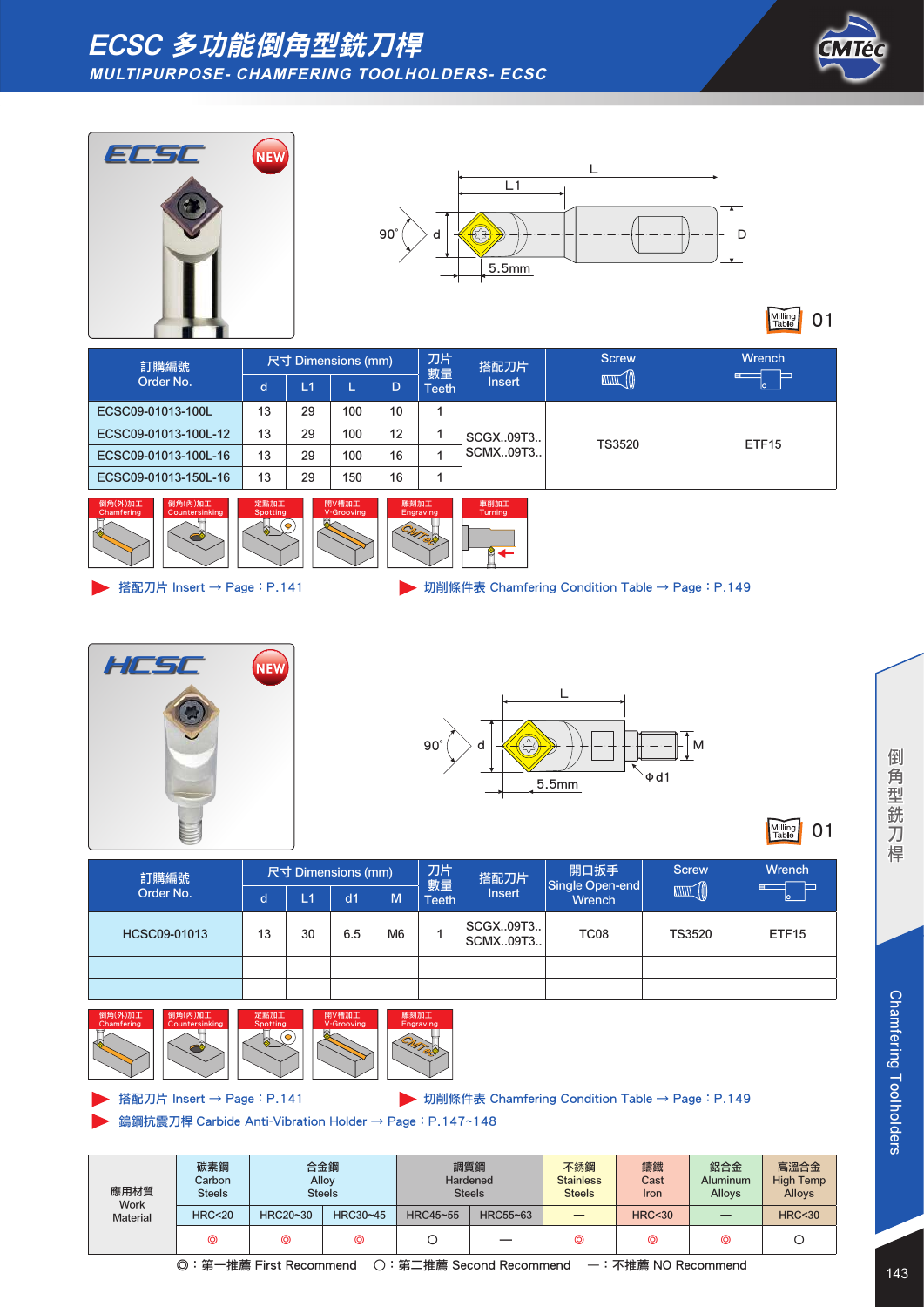







Milling 01

| 訂購編號                 |    | 尺寸 Dimensions (mm) |     |    | 刀片<br>數量 | 搭配刀片          | <b>Screw</b>  | <b>Wrench</b>     |  |
|----------------------|----|--------------------|-----|----|----------|---------------|---------------|-------------------|--|
| Order No.            | d  | L1                 |     | D. | Teeth    | <b>Insert</b> |               | ⊏                 |  |
| ECSC09-01013-100L    | 13 | 29                 | 100 | 10 |          |               |               |                   |  |
| ECSC09-01013-100L-12 | 13 | 29                 | 100 | 12 |          | SCGX09T3      |               |                   |  |
| ECSC09-01013-100L-16 | 13 | 29                 | 100 | 16 |          | SCMX09T3      | <b>TS3520</b> | ETF <sub>15</sub> |  |
| ECSC09-01013-150L-16 | 13 | 29                 | 150 | 16 |          |               |               |                   |  |





搭配刀片 Insert → Page: P.141 <br>
→ 切削條件表 Chamfering Condition Table → Page: P.149





Milling 01

| 訂購編號         |    | 尺寸 Dimensions (mm) |                |                | 刀片<br>數量     | 搭配刀片                 | 開口扳手<br>Single Open-end | <b>Screw</b> | Wrench            |
|--------------|----|--------------------|----------------|----------------|--------------|----------------------|-------------------------|--------------|-------------------|
| Order No.    | d  | 11                 | d <sub>1</sub> | M              | <b>Teeth</b> | <b>Insert</b>        | <b>Wrench</b>           |              |                   |
| HCSC09-01013 | 13 | 30                 | 6.5            | M <sub>6</sub> |              | SCGX09T3<br>SCMX09T3 | TC <sub>08</sub>        | TS3520       | ETF <sub>15</sub> |
|              |    |                    |                |                |              |                      |                         |              |                   |
|              |    |                    |                |                |              |                      |                         |              |                   |







鎢鋼抗震刀桿 Carbide Anti-Vibration Holder → Page:P.147~148

| 應用材質<br>Work    | 碳素鋼<br>Carbon<br><b>Steels</b> | <b>Steels</b> | 合金鋼<br>Alloy |          | 調質鋼<br>Hardened<br><b>Steels</b> | 不銹鋼<br><b>Stainless</b><br><b>Steels</b> | 鑄鐵<br>Cast<br><b>Iron</b> | 鋁合金<br><b>Aluminum</b><br><b>Allovs</b> | 高溫合金<br><b>High Temp</b><br>Alloys |
|-----------------|--------------------------------|---------------|--------------|----------|----------------------------------|------------------------------------------|---------------------------|-----------------------------------------|------------------------------------|
| <b>Material</b> | <b>HRC&lt;20</b>               | HRC20~30      | HRC30~45     | HRC45~55 | HRC55~63                         |                                          | HRC < 30                  |                                         | <b>HRC&lt;30</b>                   |
|                 | ⊚                              | ⊚             | ⊚            |          |                                  | ⊚                                        | ⊚                         | ⊚                                       |                                    |
|                 | ◎:第一推薦 First Recommend         |               |              |          | 〇:第二推薦 Second Recommend          |                                          | 一:不推薦 NO Recommend        |                                         |                                    |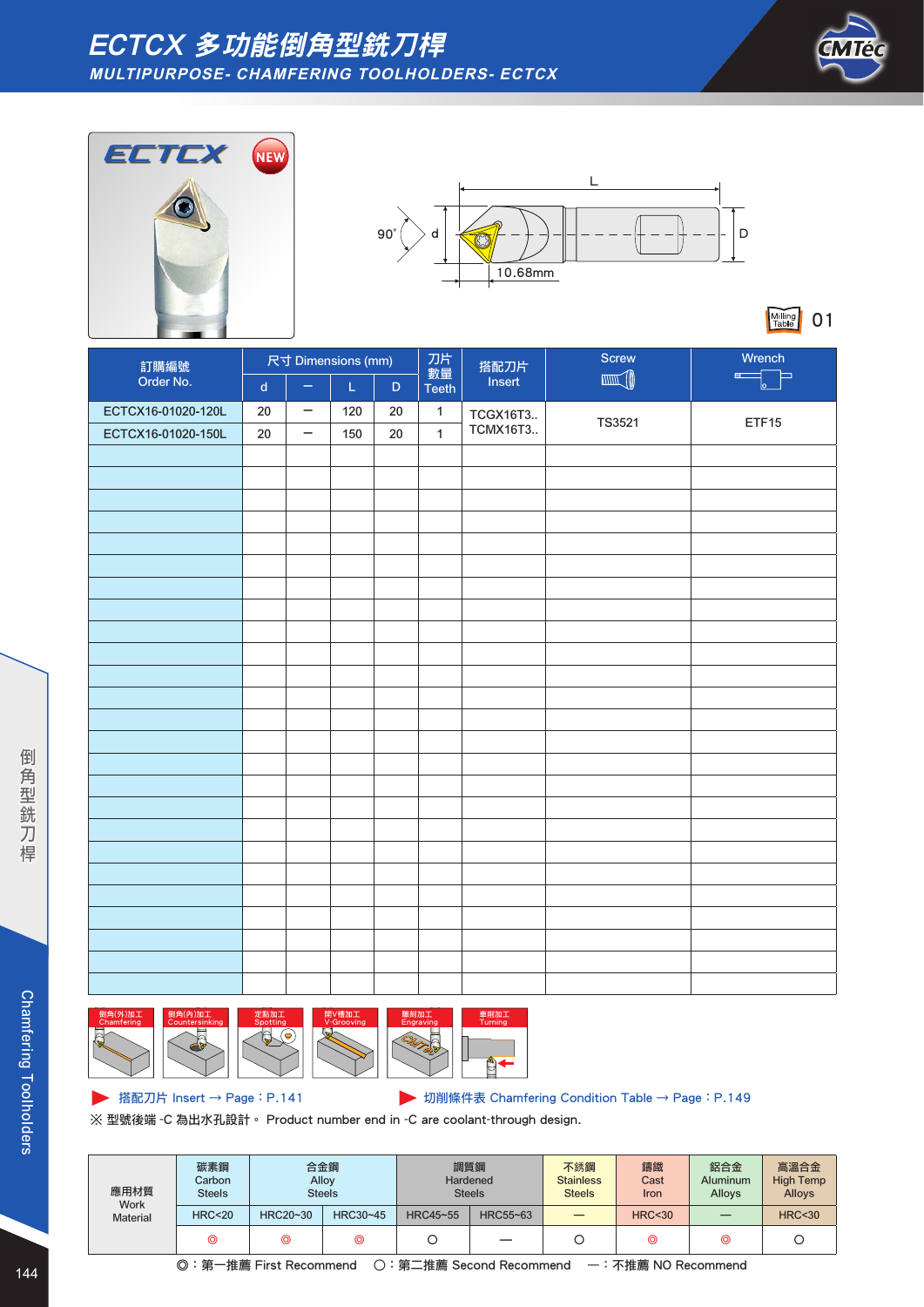





Milling 01

|                    |                             | 尺寸 Dimensions (mm)       |                                                                                                     |             |                    | 搭配刀片            | Screw         | Wrench                         |  |  |
|--------------------|-----------------------------|--------------------------|-----------------------------------------------------------------------------------------------------|-------------|--------------------|-----------------|---------------|--------------------------------|--|--|
| 訂購編號<br>Order No.  | $\operatorname{\mathsf{d}}$ | $\overline{\phantom{m}}$ | $\mathsf{L}% _{0}\left( \mathsf{L}_{0}\right) ^{T}=\mathsf{L}_{0}\left( \mathsf{L}_{0}\right) ^{T}$ | $\mathsf D$ | 數量<br><b>Teeth</b> | Insert          |               | $\blacksquare$<br>Þ<br>$\circ$ |  |  |
| ECTCX16-01020-120L | $20\,$                      | $\overline{\phantom{m}}$ | 120                                                                                                 | $20\,$      | $\mathbf{1}$       | TCGX16T3        | <b>TS3521</b> | ETF15                          |  |  |
| ECTCX16-01020-150L | $20\,$                      | $\overline{\phantom{m}}$ | 150                                                                                                 | 20          | $\mathbf{1}$       | <b>TCMX16T3</b> |               |                                |  |  |
|                    |                             |                          |                                                                                                     |             |                    |                 |               |                                |  |  |
|                    |                             |                          |                                                                                                     |             |                    |                 |               |                                |  |  |
|                    |                             |                          |                                                                                                     |             |                    |                 |               |                                |  |  |
|                    |                             |                          |                                                                                                     |             |                    |                 |               |                                |  |  |
|                    |                             |                          |                                                                                                     |             |                    |                 |               |                                |  |  |
|                    |                             |                          |                                                                                                     |             |                    |                 |               |                                |  |  |
|                    |                             |                          |                                                                                                     |             |                    |                 |               |                                |  |  |
|                    |                             |                          |                                                                                                     |             |                    |                 |               |                                |  |  |
|                    |                             |                          |                                                                                                     |             |                    |                 |               |                                |  |  |
|                    |                             |                          |                                                                                                     |             |                    |                 |               |                                |  |  |
|                    |                             |                          |                                                                                                     |             |                    |                 |               |                                |  |  |
|                    |                             |                          |                                                                                                     |             |                    |                 |               |                                |  |  |
|                    |                             |                          |                                                                                                     |             |                    |                 |               |                                |  |  |
|                    |                             |                          |                                                                                                     |             |                    |                 |               |                                |  |  |
|                    |                             |                          |                                                                                                     |             |                    |                 |               |                                |  |  |
|                    |                             |                          |                                                                                                     |             |                    |                 |               |                                |  |  |
|                    |                             |                          |                                                                                                     |             |                    |                 |               |                                |  |  |
|                    |                             |                          |                                                                                                     |             |                    |                 |               |                                |  |  |
|                    |                             |                          |                                                                                                     |             |                    |                 |               |                                |  |  |
|                    |                             |                          |                                                                                                     |             |                    |                 |               |                                |  |  |
|                    |                             |                          |                                                                                                     |             |                    |                 |               |                                |  |  |
|                    |                             |                          |                                                                                                     |             |                    |                 |               |                                |  |  |
|                    |                             |                          |                                                                                                     |             |                    |                 |               |                                |  |  |
|                    |                             |                          |                                                                                                     |             |                    |                 |               |                                |  |  |
|                    |                             |                          |                                                                                                     |             |                    |                 |               |                                |  |  |
|                    |                             |                          |                                                                                                     |             |                    |                 |               |                                |  |  |



▶ 搭配刀片 Insert → Page: P.141 **Depart of Page: P.149** 切削條件表 Chamfering Condition Table → Page: P.149

※ 型號後端 -C 為出水孔設計。 Product number end in -C are coolant-through design.

| 應用材質<br><b>Work</b> | 碳素鋼<br>Carbon<br><b>Steels</b> | 合金鋼<br>Alloy<br><b>Steels</b> |          | 調質鋼<br>Hardened | <b>Steels</b> | 不銹鋼<br><b>Stainless</b><br><b>Steels</b> | 鑄鐵<br>Cast<br><b>Iron</b> | 鋁合金<br><b>Aluminum</b><br>Alloys | 高溫合金<br><b>High Temp</b><br><b>Alloys</b> |
|---------------------|--------------------------------|-------------------------------|----------|-----------------|---------------|------------------------------------------|---------------------------|----------------------------------|-------------------------------------------|
| <b>Material</b>     | <b>HRC&lt;20</b>               | HRC20~30                      | HRC30~45 | HRC45~55        | HRC55~63      |                                          | <b>HRC&lt;30</b>          |                                  | <b>HRC&lt;30</b>                          |
|                     | ⊚                              | ⊚                             | ⊚        |                 | __            |                                          | ⊚                         | ⊚                                |                                           |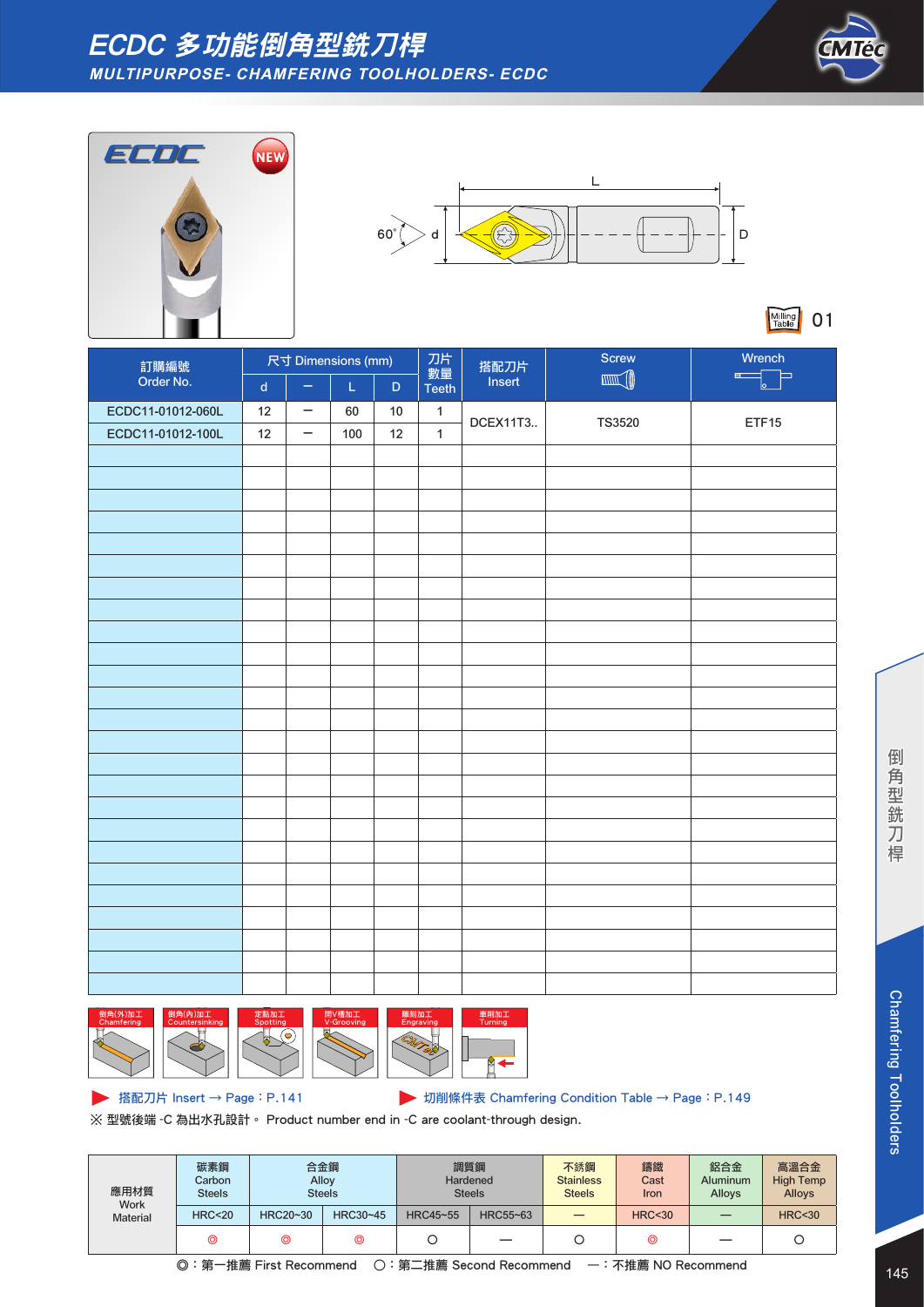







Milling 01

| 訂購編號              | 尺寸 Dimensions (mm)          |                   |                                                                                                             | 刀片          | 搭配刀片               | Screw    | Wrench |                     |  |
|-------------------|-----------------------------|-------------------|-------------------------------------------------------------------------------------------------------------|-------------|--------------------|----------|--------|---------------------|--|
| Order No.         | $\operatorname{\mathsf{d}}$ | ÷                 | $\mathsf{L}% _{0}\left( \mathsf{L}_{0}\right) ^{\ast }=\mathsf{L}_{0}\left( \mathsf{L}_{0}\right) ^{\ast }$ | $\mathsf D$ | 數量<br><b>Teeth</b> | Insert   |        | $\overline{a}$<br>≕ |  |
| ECDC11-01012-060L | 12                          | -                 | 60                                                                                                          | $10$        | $\mathbf{1}$       | DCEX11T3 | TS3520 | ETF15               |  |
| ECDC11-01012-100L | 12                          | $\qquad \qquad -$ | 100                                                                                                         | 12          | $\mathbf{1}$       |          |        |                     |  |
|                   |                             |                   |                                                                                                             |             |                    |          |        |                     |  |
|                   |                             |                   |                                                                                                             |             |                    |          |        |                     |  |
|                   |                             |                   |                                                                                                             |             |                    |          |        |                     |  |
|                   |                             |                   |                                                                                                             |             |                    |          |        |                     |  |
|                   |                             |                   |                                                                                                             |             |                    |          |        |                     |  |
|                   |                             |                   |                                                                                                             |             |                    |          |        |                     |  |
|                   |                             |                   |                                                                                                             |             |                    |          |        |                     |  |
|                   |                             |                   |                                                                                                             |             |                    |          |        |                     |  |
|                   |                             |                   |                                                                                                             |             |                    |          |        |                     |  |
|                   |                             |                   |                                                                                                             |             |                    |          |        |                     |  |
|                   |                             |                   |                                                                                                             |             |                    |          |        |                     |  |
|                   |                             |                   |                                                                                                             |             |                    |          |        |                     |  |
|                   |                             |                   |                                                                                                             |             |                    |          |        |                     |  |
|                   |                             |                   |                                                                                                             |             |                    |          |        |                     |  |
|                   |                             |                   |                                                                                                             |             |                    |          |        |                     |  |
|                   |                             |                   |                                                                                                             |             |                    |          |        |                     |  |
|                   |                             |                   |                                                                                                             |             |                    |          |        |                     |  |
|                   |                             |                   |                                                                                                             |             |                    |          |        |                     |  |
|                   |                             |                   |                                                                                                             |             |                    |          |        |                     |  |
|                   |                             |                   |                                                                                                             |             |                    |          |        |                     |  |
|                   |                             |                   |                                                                                                             |             |                    |          |        |                     |  |
|                   |                             |                   |                                                                                                             |             |                    |          |        |                     |  |
|                   |                             |                   |                                                                                                             |             |                    |          |        |                     |  |
|                   |                             |                   |                                                                                                             |             |                    |          |        |                     |  |









車削加工 Turning

**▶ 搭配刀片 Insert → Page: P.141 Deveral Development Development Development Development Property P.149** 

※ 型號後端 -C 為出水孔設計。 Product number end in -C are coolant-through design.

| 應用材質<br><b>Work</b> | 碳素鋼<br>Carbon<br><b>Steels</b> | 合金鋼      | Alloy<br><b>Steels</b> | Hardened | 調質鋼<br><b>Steels</b>     | 不銹鋼<br><b>Stainless</b><br><b>Steels</b> | 鑄鐵<br>Cast<br>Iron | 鋁合金<br><b>Aluminum</b><br>Alloys | 高溫合金<br><b>High Temp</b><br><b>Alloys</b> |
|---------------------|--------------------------------|----------|------------------------|----------|--------------------------|------------------------------------------|--------------------|----------------------------------|-------------------------------------------|
| <b>Material</b>     | <b>HRC&lt;20</b>               | HRC20~30 | HRC30~45               | HRC45~55 | HRC55~63                 |                                          | <b>HRC&lt;30</b>   |                                  | <b>HRC&lt;30</b>                          |
|                     | ⊚                              | ⊚        | ⊚                      |          | $\overline{\phantom{0}}$ |                                          | ◎                  |                                  |                                           |

◎:第一推薦 First Recommend ○:第二推薦 Second Recommend —:不推薦 NO Recommend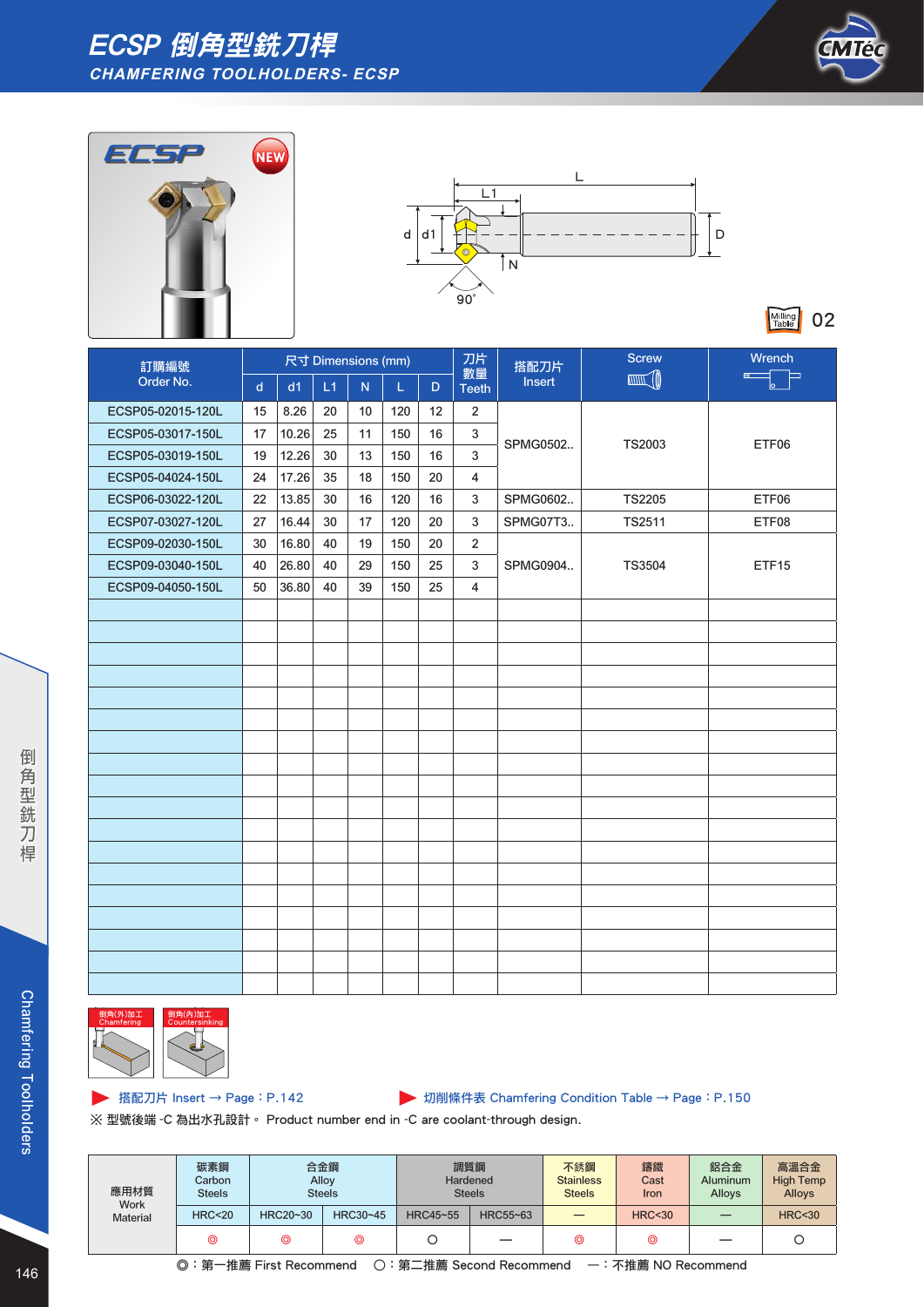### ECSP 倒角型銑刀桿 **CHAMFERING TOOLHOLDERS- ECSP**







Milling 02

| 訂購編號              | 尺寸 Dimensions (mm) |       | 刀片 | 搭配刀片 | <b>Screw</b> | Wrench |                    |          |               |                   |
|-------------------|--------------------|-------|----|------|--------------|--------|--------------------|----------|---------------|-------------------|
| Order No.         | $\mathsf{d}$       | d1    | L1 | N    | L            | D      | 數量<br><b>Teeth</b> | Insert   | <b>MANTA</b>  | E L               |
| ECSP05-02015-120L | 15                 | 8.26  | 20 | 10   | 120          | 12     | $\overline{2}$     |          |               |                   |
| ECSP05-03017-150L | 17                 | 10.26 | 25 | 11   | 150          | 16     | $\sqrt{3}$         |          |               |                   |
| ECSP05-03019-150L | 19                 | 12.26 | 30 | 13   | 150          | 16     | $\sqrt{3}$         | SPMG0502 | <b>TS2003</b> | ETF06             |
| ECSP05-04024-150L | 24                 | 17.26 | 35 | 18   | 150          | 20     | 4                  |          |               |                   |
| ECSP06-03022-120L | 22                 | 13.85 | 30 | 16   | 120          | 16     | 3                  | SPMG0602 | <b>TS2205</b> | ETF06             |
| ECSP07-03027-120L | 27                 | 16.44 | 30 | 17   | 120          | 20     | 3                  | SPMG07T3 | <b>TS2511</b> | ETF08             |
| ECSP09-02030-150L | 30                 | 16.80 | 40 | 19   | 150          | 20     | $\overline{2}$     |          |               |                   |
| ECSP09-03040-150L | 40                 | 26.80 | 40 | 29   | 150          | 25     | 3                  | SPMG0904 | <b>TS3504</b> | ETF <sub>15</sub> |
| ECSP09-04050-150L | 50                 | 36.80 | 40 | 39   | 150          | 25     | 4                  |          |               |                   |
|                   |                    |       |    |      |              |        |                    |          |               |                   |
|                   |                    |       |    |      |              |        |                    |          |               |                   |
|                   |                    |       |    |      |              |        |                    |          |               |                   |
|                   |                    |       |    |      |              |        |                    |          |               |                   |
|                   |                    |       |    |      |              |        |                    |          |               |                   |
|                   |                    |       |    |      |              |        |                    |          |               |                   |
|                   |                    |       |    |      |              |        |                    |          |               |                   |
|                   |                    |       |    |      |              |        |                    |          |               |                   |
|                   |                    |       |    |      |              |        |                    |          |               |                   |
|                   |                    |       |    |      |              |        |                    |          |               |                   |
|                   |                    |       |    |      |              |        |                    |          |               |                   |
|                   |                    |       |    |      |              |        |                    |          |               |                   |
|                   |                    |       |    |      |              |        |                    |          |               |                   |
|                   |                    |       |    |      |              |        |                    |          |               |                   |
|                   |                    |       |    |      |              |        |                    |          |               |                   |
|                   |                    |       |    |      |              |        |                    |          |               |                   |
|                   |                    |       |    |      |              |        |                    |          |               |                   |
|                   |                    |       |    |      |              |        |                    |          |               |                   |



搭配刀片 Insert → Page:P.142 切削條件表 Chamfering Condition Table → Page:P.150

※ 型號後端 -C 為出水孔設計。 Product number end in -C are coolant-through design.

| 應用材質<br><b>Work</b> | 碳素鋼<br>Carbon<br><b>Steels</b> | 合金鋼<br>Alloy | <b>Steels</b> | 調質鋼<br>Hardened | <b>Steels</b> | 不銹鋼<br><b>Stainless</b><br><b>Steels</b> | 鑄鐵<br>Cast<br>Iron | 鋁合金<br>Aluminum<br>Alloys | 高溫合金<br><b>High Temp</b><br><b>Alloys</b> |
|---------------------|--------------------------------|--------------|---------------|-----------------|---------------|------------------------------------------|--------------------|---------------------------|-------------------------------------------|
| <b>Material</b>     | <b>HRC&lt;20</b>               | HRC20~30     | HRC30~45      | HRC45~55        | HRC55~63      |                                          | <b>HRC&lt;30</b>   |                           | <b>HRC&lt;30</b>                          |
|                     | ⊚                              | ⊚            | ⊚             |                 | _             | ⊚                                        | ◎                  | —                         |                                           |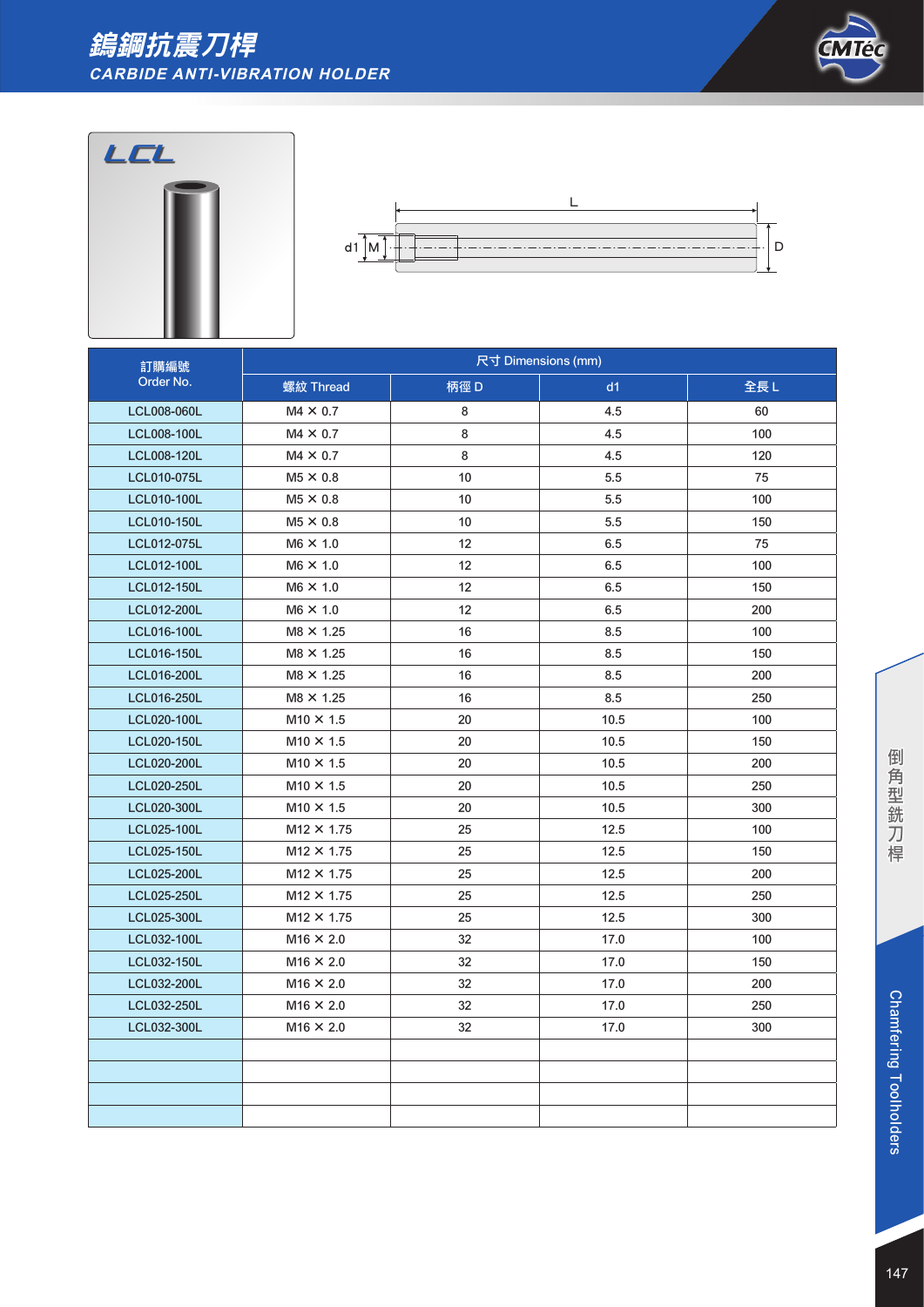# 鎢鋼抗震刀桿 **CARBIDE ANTI-VIBRATION HOLDER**



![](_page_8_Picture_2.jpeg)

![](_page_8_Figure_3.jpeg)

| 訂購編號               | 尺寸 Dimensions (mm) |      |      |     |  |  |  |
|--------------------|--------------------|------|------|-----|--|--|--|
| Order No.          | 螺紋 Thread          | 柄徑 D | d1   | 全長L |  |  |  |
| <b>LCL008-060L</b> | $MA \times 0.7$    | 8    | 4.5  | 60  |  |  |  |
| <b>LCL008-100L</b> | $M4 \times 0.7$    | 8    | 4.5  | 100 |  |  |  |
| <b>LCL008-120L</b> | $MA \times 0.7$    | 8    | 4.5  | 120 |  |  |  |
| <b>LCL010-075L</b> | $M5 \times 0.8$    | 10   | 5.5  | 75  |  |  |  |
| <b>LCL010-100L</b> | $M5 \times 0.8$    | 10   | 5.5  | 100 |  |  |  |
| LCL010-150L        | $M5 \times 0.8$    | 10   | 5.5  | 150 |  |  |  |
| LCL012-075L        | $M6 \times 1.0$    | 12   | 6.5  | 75  |  |  |  |
| <b>LCL012-100L</b> | $M6 \times 1.0$    | 12   | 6.5  | 100 |  |  |  |
| LCL012-150L        | $M6 \times 1.0$    | 12   | 6.5  | 150 |  |  |  |
| LCL012-200L        | $M6 \times 1.0$    | 12   | 6.5  | 200 |  |  |  |
| <b>LCL016-100L</b> | $M8 \times 1.25$   | 16   | 8.5  | 100 |  |  |  |
| <b>LCL016-150L</b> | $M8 \times 1.25$   | 16   | 8.5  | 150 |  |  |  |
| <b>LCL016-200L</b> | $M8 \times 1.25$   | 16   | 8.5  | 200 |  |  |  |
| <b>LCL016-250L</b> | $M8 \times 1.25$   | 16   | 8.5  | 250 |  |  |  |
| <b>LCL020-100L</b> | $M10 \times 1.5$   | 20   | 10.5 | 100 |  |  |  |
| <b>LCL020-150L</b> | $M10 \times 1.5$   | 20   | 10.5 | 150 |  |  |  |
| <b>LCL020-200L</b> | $M10 \times 1.5$   | 20   | 10.5 | 200 |  |  |  |
| <b>LCL020-250L</b> | $M10 \times 1.5$   | 20   | 10.5 | 250 |  |  |  |
| <b>LCL020-300L</b> | $M10 \times 1.5$   | 20   | 10.5 | 300 |  |  |  |
| <b>LCL025-100L</b> | $M12 \times 1.75$  | 25   | 12.5 | 100 |  |  |  |
| <b>LCL025-150L</b> | $M12 \times 1.75$  | 25   | 12.5 | 150 |  |  |  |
| <b>LCL025-200L</b> | $M12 \times 1.75$  | 25   | 12.5 | 200 |  |  |  |
| LCL025-250L        | $M12 \times 1.75$  | 25   | 12.5 | 250 |  |  |  |
| LCL025-300L        | $M12 \times 1.75$  | 25   | 12.5 | 300 |  |  |  |
| LCL032-100L        | $M16 \times 2.0$   | 32   | 17.0 | 100 |  |  |  |
| LCL032-150L        | $M16 \times 2.0$   | 32   | 17.0 | 150 |  |  |  |
| LCL032-200L        | $M16 \times 2.0$   | 32   | 17.0 | 200 |  |  |  |
| LCL032-250L        | $M16 \times 2.0$   | 32   | 17.0 | 250 |  |  |  |
| LCL032-300L        | $M16 \times 2.0$   | 32   | 17.0 | 300 |  |  |  |
|                    |                    |      |      |     |  |  |  |
|                    |                    |      |      |     |  |  |  |
|                    |                    |      |      |     |  |  |  |
|                    |                    |      |      |     |  |  |  |

倒角型銑刀桿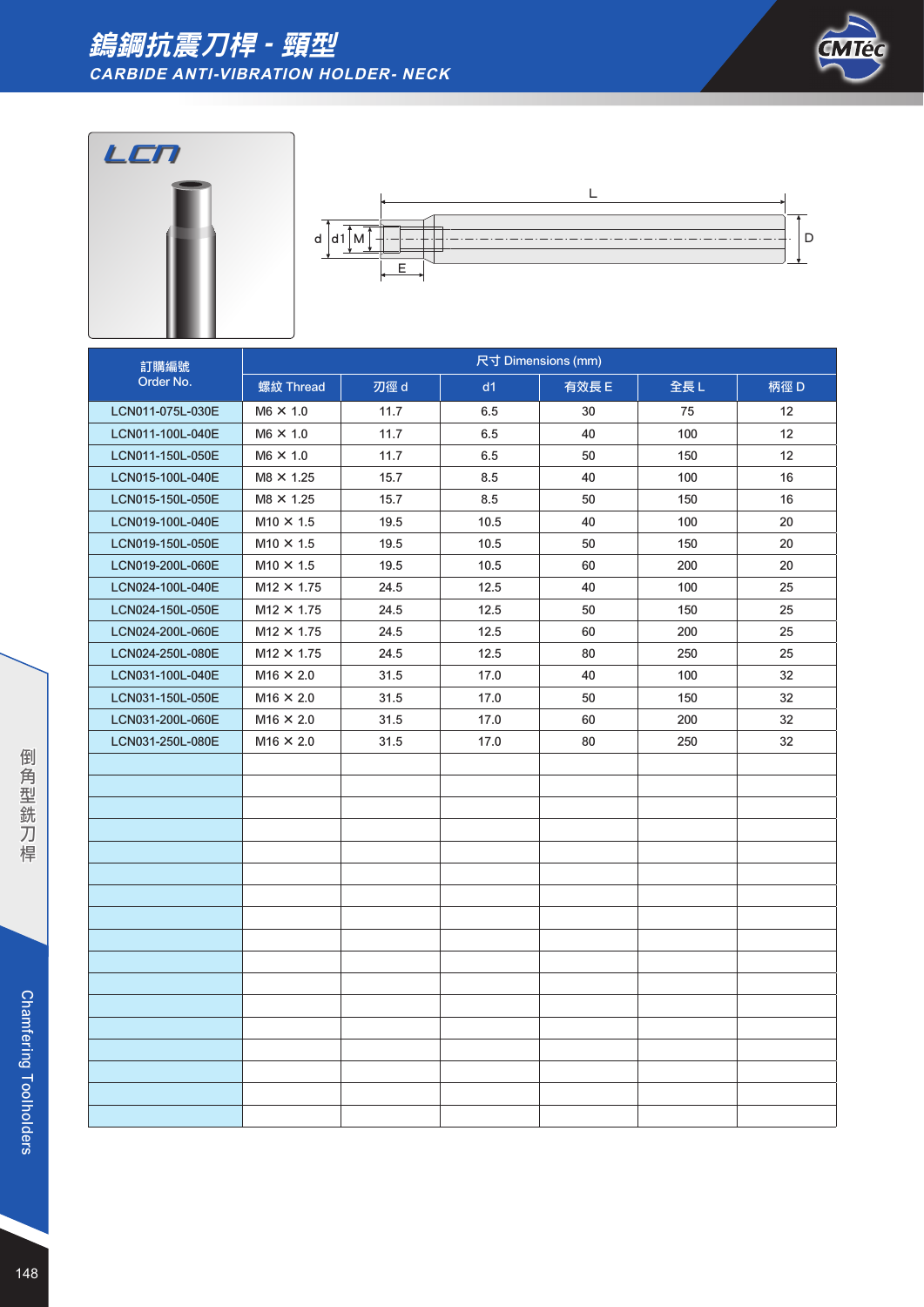#### 鎢鋼抗震刀桿 - 頸型 **CARBIDE ANTI-VIBRATION HOLDER- NECK**

![](_page_9_Picture_1.jpeg)

![](_page_9_Figure_2.jpeg)

![](_page_9_Figure_3.jpeg)

| 訂購編號             | 尺寸 Dimensions (mm) |      |      |       |     |      |  |
|------------------|--------------------|------|------|-------|-----|------|--|
| Order No.        | 螺紋 Thread          | 刃徑 d | d1   | 有效長 E | 全長L | 柄徑 D |  |
| LCN011-075L-030E | $M6 \times 1.0$    | 11.7 | 6.5  | 30    | 75  | 12   |  |
| LCN011-100L-040E | $M6 \times 1.0$    | 11.7 | 6.5  | 40    | 100 | 12   |  |
| LCN011-150L-050E | $M6 \times 1.0$    | 11.7 | 6.5  | 50    | 150 | 12   |  |
| LCN015-100L-040E | $M8 \times 1.25$   | 15.7 | 8.5  | 40    | 100 | 16   |  |
| LCN015-150L-050E | $M8 \times 1.25$   | 15.7 | 8.5  | 50    | 150 | 16   |  |
| LCN019-100L-040E | $M10 \times 1.5$   | 19.5 | 10.5 | 40    | 100 | 20   |  |
| LCN019-150L-050E | $M10 \times 1.5$   | 19.5 | 10.5 | 50    | 150 | 20   |  |
| LCN019-200L-060E | $M10 \times 1.5$   | 19.5 | 10.5 | 60    | 200 | 20   |  |
| LCN024-100L-040E | $M12 \times 1.75$  | 24.5 | 12.5 | 40    | 100 | 25   |  |
| LCN024-150L-050E | $M12 \times 1.75$  | 24.5 | 12.5 | 50    | 150 | 25   |  |
| LCN024-200L-060E | $M12 \times 1.75$  | 24.5 | 12.5 | 60    | 200 | 25   |  |
| LCN024-250L-080E | $M12 \times 1.75$  | 24.5 | 12.5 | 80    | 250 | 25   |  |
| LCN031-100L-040E | $M16 \times 2.0$   | 31.5 | 17.0 | 40    | 100 | 32   |  |
| LCN031-150L-050E | $M16 \times 2.0$   | 31.5 | 17.0 | 50    | 150 | 32   |  |
| LCN031-200L-060E | $M16 \times 2.0$   | 31.5 | 17.0 | 60    | 200 | 32   |  |
| LCN031-250L-080E | $M16 \times 2.0$   | 31.5 | 17.0 | 80    | 250 | 32   |  |
|                  |                    |      |      |       |     |      |  |
|                  |                    |      |      |       |     |      |  |
|                  |                    |      |      |       |     |      |  |
|                  |                    |      |      |       |     |      |  |
|                  |                    |      |      |       |     |      |  |
|                  |                    |      |      |       |     |      |  |
|                  |                    |      |      |       |     |      |  |
|                  |                    |      |      |       |     |      |  |
|                  |                    |      |      |       |     |      |  |
|                  |                    |      |      |       |     |      |  |
|                  |                    |      |      |       |     |      |  |
|                  |                    |      |      |       |     |      |  |
|                  |                    |      |      |       |     |      |  |
|                  |                    |      |      |       |     |      |  |
|                  |                    |      |      |       |     |      |  |
|                  |                    |      |      |       |     |      |  |
|                  |                    |      |      |       |     |      |  |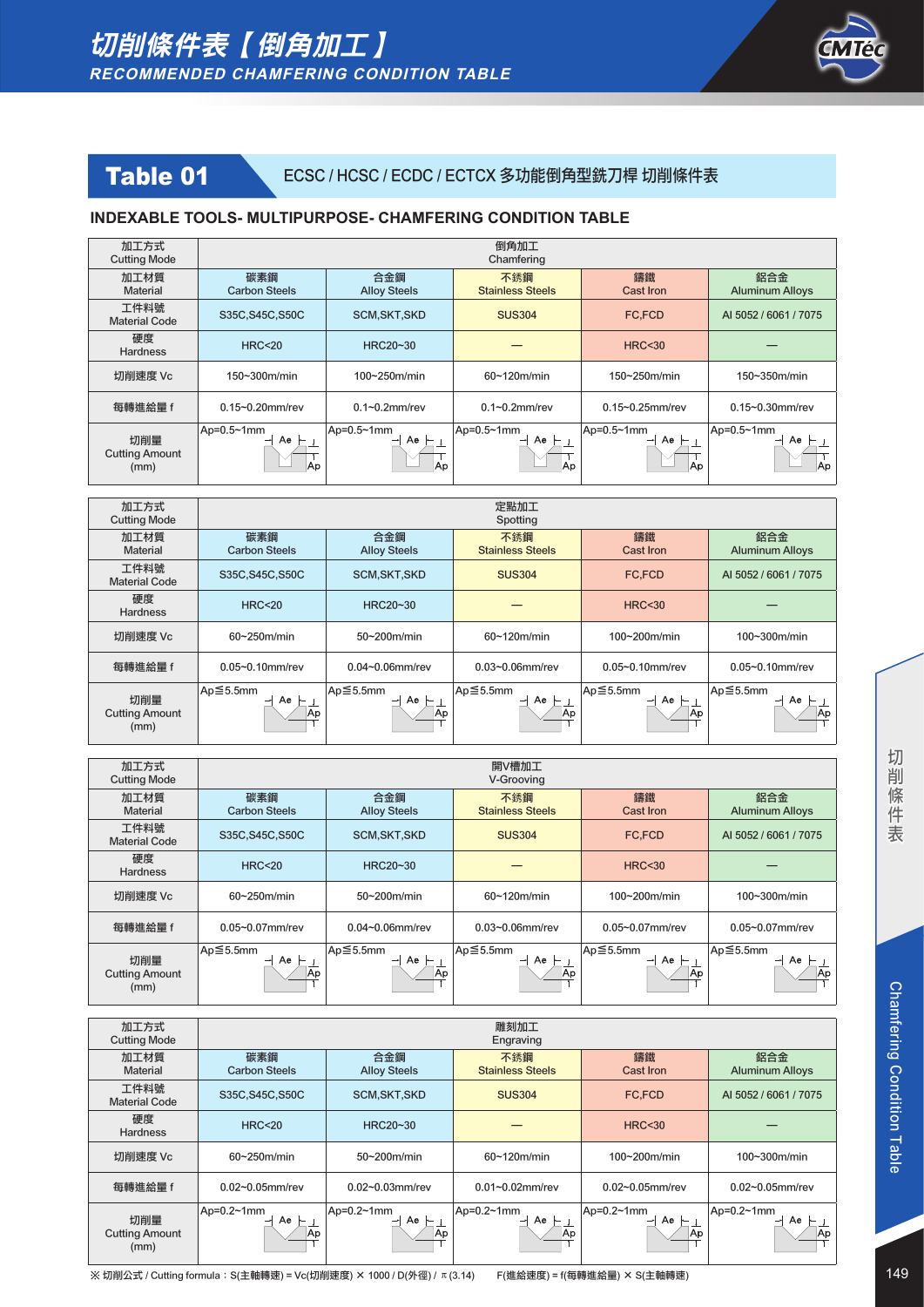![](_page_10_Picture_1.jpeg)

## Table 01 ECSC / HCSC / ECDC / ECTCX 多功能倒角型銑刀桿 切削條件表

#### **INDEXABLE TOOLS- MULTIPURPOSE- CHAMFERING CONDITION TABLE**

| 加工方式<br><b>Cutting Mode</b>          | 倒角加工<br>Chamfering                   |                            |                                              |                             |                                            |  |
|--------------------------------------|--------------------------------------|----------------------------|----------------------------------------------|-----------------------------|--------------------------------------------|--|
| 加工材質<br><b>Material</b>              | 碳素鋼<br><b>Carbon Steels</b>          | 合金鋼<br><b>Alloy Steels</b> | 不銹鋼<br><b>Stainless Steels</b>               | 鑄鐵<br><b>Cast Iron</b>      | 鋁合金<br><b>Aluminum Alloys</b>              |  |
| 工件料號<br><b>Material Code</b>         | S35C, S45C, S50C                     | <b>SCM, SKT, SKD</b>       | <b>SUS304</b>                                | <b>FC.FCD</b>               | AI 5052 / 6061 / 7075                      |  |
| 硬度<br><b>Hardness</b>                | HRC < 20                             | HRC20~30                   |                                              | HRC < 30                    |                                            |  |
| 切削速度 Vc                              | 150~300m/min                         | $100 - 250$ m/min          | $60 - 120$ m/min                             | 150~250m/min                | $150 - 350$ m/min                          |  |
| 每轉進給量 f                              | $0.15 - 0.20$ mm/rev                 | $0.1 - 0.2$ mm/rev         | $0.1 - 0.2$ mm/rev                           | $0.15 - 0.25$ mm/rev        | $0.15 - 0.30$ mm/rev                       |  |
| 切削量<br><b>Cutting Amount</b><br>(mm) | $ Ap=0.5~1$ mm<br>$Ae -$<br>-<br>lAp | Ap=0.5~1mm<br>Ae<br>lAp    | Ap=0.5~1mm<br>Ae<br>-<br>$\leftarrow$<br> Ap | Ap=0.5~1mm<br>$Ae +$<br>lAn | $Ap=0.5~1mm$<br>Ae<br>$\overline{ }$<br>Ap |  |

| 加工方式<br><b>Cutting Mode</b>          | 定點加工<br>Spotting            |                            |                                |                       |                               |  |
|--------------------------------------|-----------------------------|----------------------------|--------------------------------|-----------------------|-------------------------------|--|
| 加工材質<br>Material                     | 碳素鋼<br><b>Carbon Steels</b> | 合金鋼<br><b>Alloy Steels</b> | 不銹鋼<br><b>Stainless Steels</b> | 鑄鐵<br>Cast Iron       | 鋁合金<br><b>Aluminum Alloys</b> |  |
| 工件料號<br><b>Material Code</b>         | S35C, S45C, S50C            | <b>SCM, SKT, SKD</b>       | <b>SUS304</b>                  | <b>FC.FCD</b>         | AI 5052 / 6061 / 7075         |  |
| 硬度<br><b>Hardness</b>                | <b>HRC&lt;20</b>            | HRC20~30                   |                                | <b>HRC&lt;30</b>      |                               |  |
| 切削速度 Vc                              | $60-250$ m/min              | 50~200m/min                | $60-120$ m/min                 | 100~200m/min          | 100~300m/min                  |  |
| 每轉進給量 f                              | $0.05 - 0.10$ mm/rev        | $0.04 - 0.06$ mm/rev       | $0.03 - 0.06$ mm/rev           | $0.05 - 0.10$ mm/rev  | $0.05 - 0.10$ mm/rev          |  |
| 切削量<br><b>Cutting Amount</b><br>(mm) | Ap≦5.5mm<br>Ae<br>Ap.       | Ap≦5.5mm<br>$Ae$ –<br> Ap  | Ap≦5.5mm<br>Ae<br> Ap          | Ap≦5.5mm<br>Ae<br>,Ap | Ap≦5.5mm<br>Ae<br> Ap         |  |

| 加工方式<br><b>Cutting Mode</b>          | 開V槽加工<br>V-Grooving         |                            |                                |                        |                               |  |
|--------------------------------------|-----------------------------|----------------------------|--------------------------------|------------------------|-------------------------------|--|
| 加工材質<br>Material                     | 碳素鋼<br><b>Carbon Steels</b> | 合金鋼<br><b>Alloy Steels</b> | 不銹鋼<br><b>Stainless Steels</b> | 鑄鐵<br><b>Cast Iron</b> | 鋁合金<br><b>Aluminum Alloys</b> |  |
| 工件料號<br><b>Material Code</b>         | S35C, S45C, S50C            | <b>SCM, SKT, SKD</b>       | <b>SUS304</b>                  | <b>FC.FCD</b>          | AI 5052 / 6061 / 7075         |  |
| 硬度<br><b>Hardness</b>                | HRC < 20                    | HRC20~30                   |                                | HRC < 30               |                               |  |
| 切削速度 Vc                              | $60 - 250$ m/min            | $50-200$ m/min             | $60 - 120$ m/min               | $100-200$ m/min        | 100~300m/min                  |  |
| 每轉進給量 f                              | $0.05 - 0.07$ mm/rev        | $0.04 - 0.06$ mm/rev       | 0.03~0.06mm/rev                | $0.05 - 0.07$ mm/rev   | 0.05~0.07mm/rev               |  |
| 切削量<br><b>Cutting Amount</b><br>(mm) | Ap≦5.5mm<br>Ae<br> Ap       | Ap≦5.5mm<br>Ae             | Ap≦5.5mm<br>Ae<br>Ap           | Ap≦5.5mm<br>Ae<br> Ap  | Ap≦5.5mm<br>Ae<br> Ap         |  |

| 加工方式<br><b>Cutting Mode</b>          |                               |                             | 雕刻加工<br>Engraving                         |                              |                               |
|--------------------------------------|-------------------------------|-----------------------------|-------------------------------------------|------------------------------|-------------------------------|
| 加工材質<br><b>Material</b>              | 碳素鋼<br><b>Carbon Steels</b>   | 合金鋼<br><b>Alloy Steels</b>  | 不銹鋼<br><b>Stainless Steels</b>            | 鑄鐵<br><b>Cast Iron</b>       | 鋁合金<br><b>Aluminum Alloys</b> |
| 工件料號<br><b>Material Code</b>         | S35C, S45C, S50C              | <b>SCM, SKT, SKD</b>        | <b>SUS304</b>                             | FC,FCD                       | AI 5052 / 6061 / 7075         |
| 硬度<br><b>Hardness</b>                | <b>HRC&lt;20</b>              | HRC20~30                    |                                           | <b>HRC&lt;30</b>             |                               |
| 切削速度 Vc                              | $60-250$ m/min                | $50-200$ m/min              | $60 - 120$ m/min                          | 100~200m/min                 | 100~300m/min                  |
| 每轉進給量 f                              | $0.02 - 0.05$ mm/rev          | $0.02 - 0.03$ mm/rev        | $0.01 - 0.02$ mm/rev                      | $0.02 - 0.05$ mm/rev         | $0.02 - 0.05$ mm/rev          |
| 切削量<br><b>Cutting Amount</b><br>(mm) | $ Ap=0.2~1$ mm<br>Ae ⊩<br> Ap | Ap= $0.2$ ~1mm<br>Ae<br> Ap | Ap=0.2~1mm<br>Ae<br>$\overline{ }$<br> Ap | Ap=0.2~1mm<br>Ae<br>⊢<br> Ap | $Ap=0.2~1mm$<br>Ae<br>Ap      |